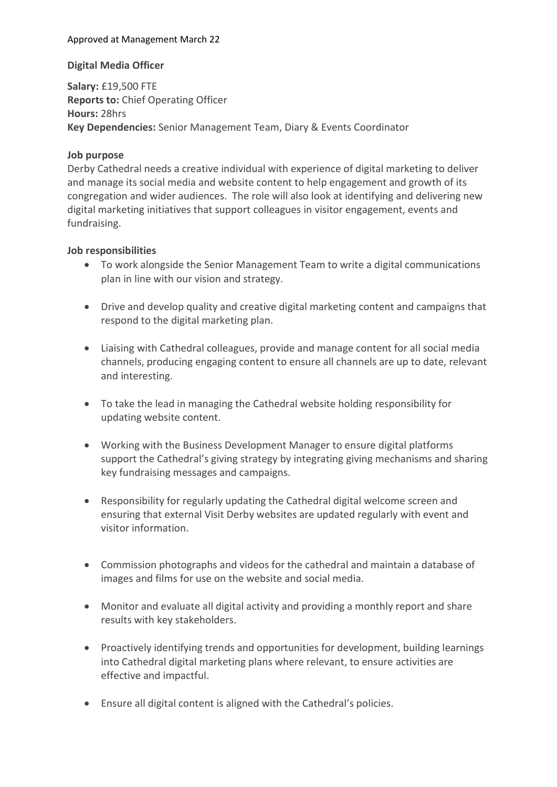## Approved at Management March 22

#### Digital Media Officer

Salary: £19,500 FTE Reports to: Chief Operating Officer Hours: 28hrs Key Dependencies: Senior Management Team, Diary & Events Coordinator

## Job purpose

Derby Cathedral needs a creative individual with experience of digital marketing to deliver and manage its social media and website content to help engagement and growth of its congregation and wider audiences. The role will also look at identifying and delivering new digital marketing initiatives that support colleagues in visitor engagement, events and fundraising.

#### Job responsibilities

- To work alongside the Senior Management Team to write a digital communications plan in line with our vision and strategy.
- Drive and develop quality and creative digital marketing content and campaigns that respond to the digital marketing plan.
- Liaising with Cathedral colleagues, provide and manage content for all social media channels, producing engaging content to ensure all channels are up to date, relevant and interesting.
- To take the lead in managing the Cathedral website holding responsibility for updating website content.
- Working with the Business Development Manager to ensure digital platforms support the Cathedral's giving strategy by integrating giving mechanisms and sharing key fundraising messages and campaigns.
- Responsibility for regularly updating the Cathedral digital welcome screen and ensuring that external Visit Derby websites are updated regularly with event and visitor information.
- Commission photographs and videos for the cathedral and maintain a database of images and films for use on the website and social media.
- Monitor and evaluate all digital activity and providing a monthly report and share results with key stakeholders.
- Proactively identifying trends and opportunities for development, building learnings into Cathedral digital marketing plans where relevant, to ensure activities are effective and impactful.
- Ensure all digital content is aligned with the Cathedral's policies.